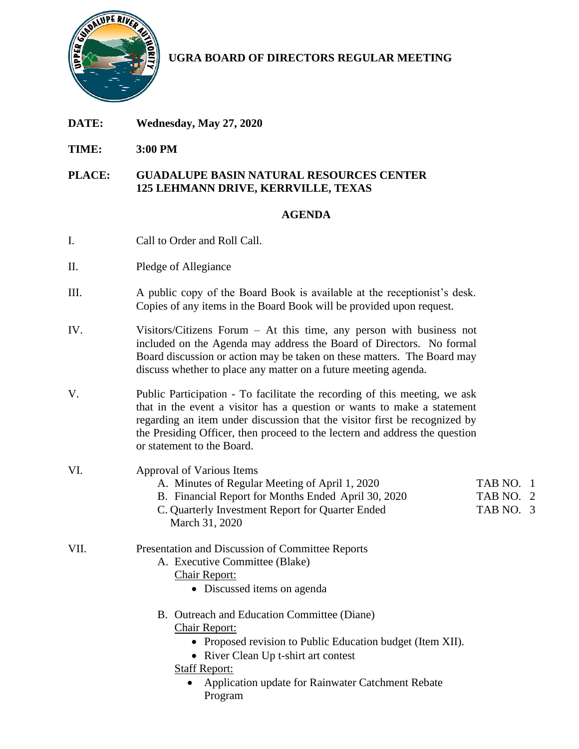

**UGRA BOARD OF DIRECTORS REGULAR MEETING**

- **DATE: Wednesday, May 27, 2020**
- **TIME: 3:00 PM**

## **PLACE: GUADALUPE BASIN NATURAL RESOURCES CENTER 125 LEHMANN DRIVE, KERRVILLE, TEXAS**

## **AGENDA**

- I. Call to Order and Roll Call.
- II. Pledge of Allegiance
- III. A public copy of the Board Book is available at the receptionist's desk. Copies of any items in the Board Book will be provided upon request.
- IV. Visitors/Citizens Forum At this time, any person with business not included on the Agenda may address the Board of Directors. No formal Board discussion or action may be taken on these matters. The Board may discuss whether to place any matter on a future meeting agenda.
- V. Public Participation To facilitate the recording of this meeting, we ask that in the event a visitor has a question or wants to make a statement regarding an item under discussion that the visitor first be recognized by the Presiding Officer, then proceed to the lectern and address the question or statement to the Board.
- VI. Approval of Various Items A. Minutes of Regular Meeting of April 1, 2020 TAB NO. 1 B. Financial Report for Months Ended April 30, 2020 TAB NO. 2 C. Quarterly Investment Report for Quarter Ended TAB NO. 3 March 31, 2020 VII. Presentation and Discussion of Committee Reports A. Executive Committee (Blake) Chair Report: • Discussed items on agenda B. Outreach and Education Committee (Diane) Chair Report: • Proposed revision to Public Education budget (Item XII).
	- River Clean Up t-shirt art contest
	- Staff Report:
		- Application update for Rainwater Catchment Rebate Program